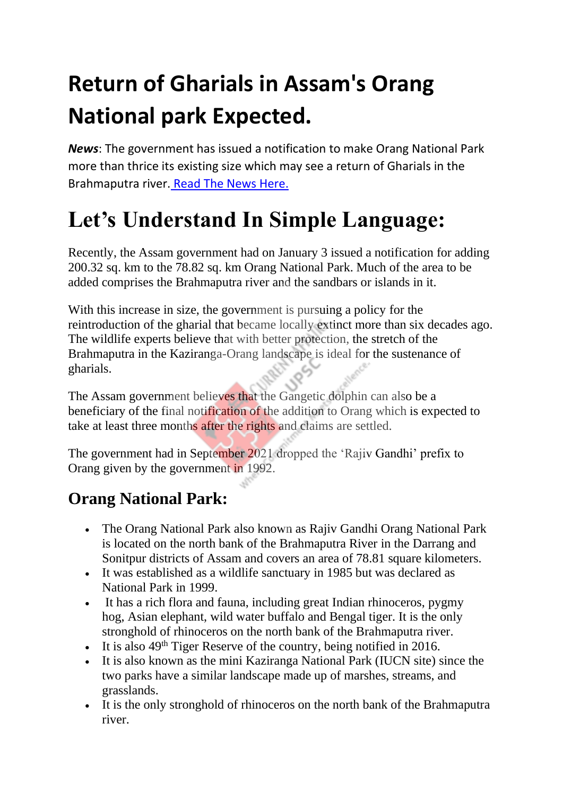# **Return of Gharials in Assam's Orang National park Expected.**

*News*: The government has issued a notification to make Orang National Park more than thrice its existing size which may see a return of Gharials in the Brahmaputra river. [Read The News Here.](https://www.thehindu.com/news/national/other-states/expanded-tiger-reserve-may-see-return-of-gharials-in-assam/article38190380.ece)

## **Let's Understand In Simple Language:**

Recently, the Assam government had on January 3 issued a notification for adding 200.32 sq. km to the 78.82 sq. km Orang National Park. Much of the area to be added comprises the Brahmaputra river and the sandbars or islands in it.

With this increase in size, the government is pursuing a policy for the reintroduction of the gharial that became locally extinct more than six decades ago. The wildlife experts believe that with better protection, the stretch of the Brahmaputra in the Kaziranga-Orang landscape is ideal for the sustenance of gharials.

The Assam government believes that the Gangetic dolphin can also be a beneficiary of the final notification of the addition to Orang which is expected to take at least three months after the rights and claims are settled.

The government had in September 2021 dropped the 'Rajiv Gandhi' prefix to Orang given by the government in 1992.

### **Orang National Park:**

- The Orang National Park also known as Rajiv Gandhi Orang National Park is located on the north bank of the Brahmaputra River in the Darrang and Sonitpur districts of Assam and covers an area of 78.81 square kilometers.
- It was established as a wildlife sanctuary in 1985 but was declared as National Park in 1999.
- It has a rich flora and fauna, including great Indian rhinoceros, pygmy hog, Asian elephant, wild water buffalo and Bengal tiger. It is the only stronghold of rhinoceros on the north bank of the Brahmaputra river.
- It is also  $49<sup>th</sup>$  Tiger Reserve of the country, being notified in 2016.
- It is also known as the mini Kaziranga National Park (IUCN site) since the two parks have a similar landscape made up of marshes, streams, and grasslands.
- It is the only stronghold of rhinoceros on the north bank of the Brahmaputra river.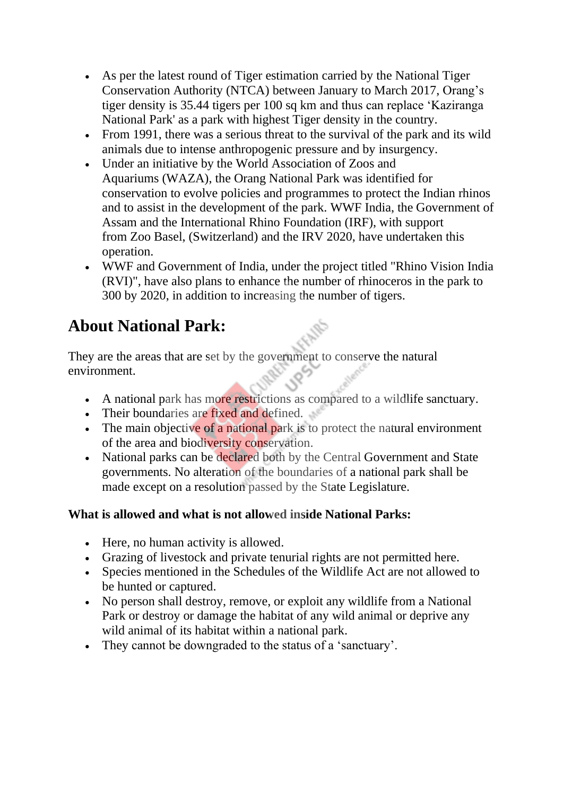- As per the latest round of Tiger estimation carried by the National Tiger Conservation Authority (NTCA) between January to March 2017, Orang's tiger density is 35.44 tigers per 100 sq km and thus can replace 'Kaziranga National Park' as a park with highest Tiger density in the country.
- From 1991, there was a serious threat to the survival of the park and its wild animals due to intense anthropogenic pressure and by insurgency.
- Under an initiative by the World Association of Zoos and Aquariums (WAZA), the Orang National Park was identified for conservation to evolve policies and programmes to protect the Indian rhinos and to assist in the development of the park. WWF India, the Government of Assam and the International Rhino Foundation (IRF), with support from Zoo Basel, (Switzerland) and the IRV 2020, have undertaken this operation.
- WWF and Government of India, under the project titled "Rhino Vision India" (RVI)", have also plans to enhance the number of rhinoceros in the park to 300 by 2020, in addition to increasing the number of tigers.

### **About National Park:**

They are the areas that are set by the government to conserve the natural environment.

- A national park has more restrictions as compared to a wildlife sanctuary.
- Their boundaries are fixed and defined.
- The main objective of a national park is to protect the natural environment of the area and biodiversity conservation.
- National parks can be declared both by the Central Government and State governments. No alteration of the boundaries of a national park shall be made except on a resolution passed by the State Legislature.

#### **What is allowed and what is not allowed inside National Parks:**

- Here, no human activity is allowed.
- Grazing of livestock and private tenurial rights are not permitted here.
- Species mentioned in the Schedules of the Wildlife Act are not allowed to be hunted or captured.
- No person shall destroy, remove, or exploit any wildlife from a National Park or destroy or damage the habitat of any wild animal or deprive any wild animal of its habitat within a national park.
- They cannot be downgraded to the status of a 'sanctuary'.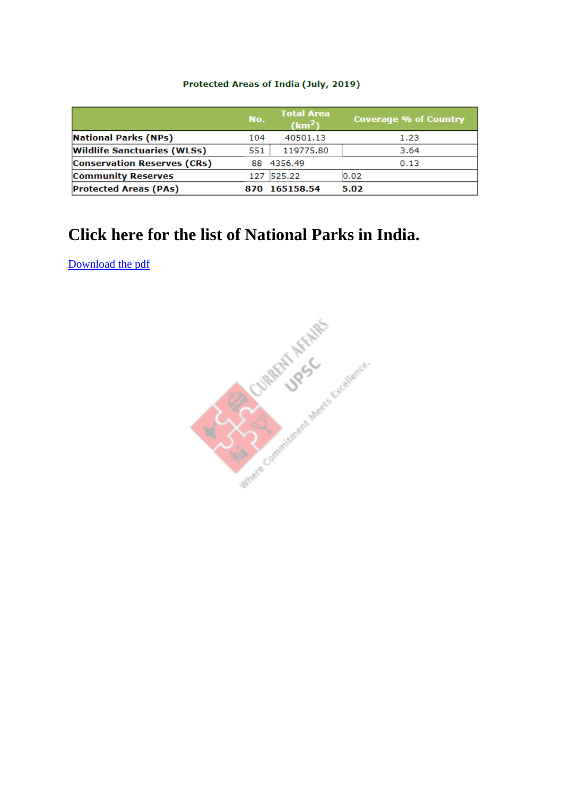#### Protected Areas of India (July, 2019)

|                                    | No. | <b>Total Area</b><br>(km <sup>2</sup> ) | <b>Coverage % of Country</b> |
|------------------------------------|-----|-----------------------------------------|------------------------------|
| <b>National Parks (NPs)</b>        | 104 | 40501.13                                | 1.23                         |
| <b>Wildlife Sanctuaries (WLSs)</b> | 551 | 119775.80                               | 3.64                         |
| <b>Conservation Reserves (CRs)</b> |     | 88 4356.49                              | 0.13                         |
| <b>Community Reserves</b>          |     | 127 525.22                              | 0.02                         |
| <b>Protected Areas (PAs)</b>       |     | 165158.54                               | 5.02                         |

### **Click here for the list of National Parks in India.**

[Download the pdf](https://currentaffairsupsc.in/wp-content/uploads/2022/01/List-of-National-Parks-in-India.pdf)

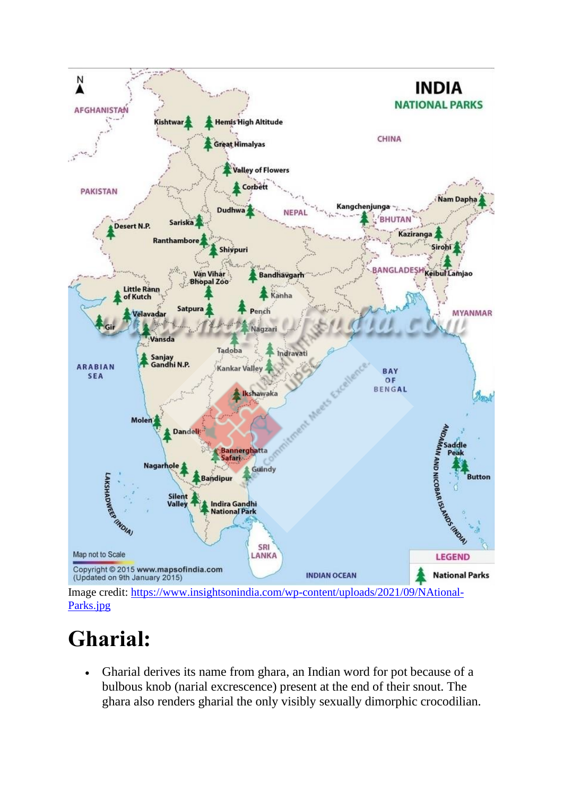

# **Gharial:**

• Gharial derives its name from ghara, an Indian word for pot because of a bulbous knob (narial excrescence) present at the end of their snout. The ghara also renders gharial the only visibly sexually dimorphic crocodilian.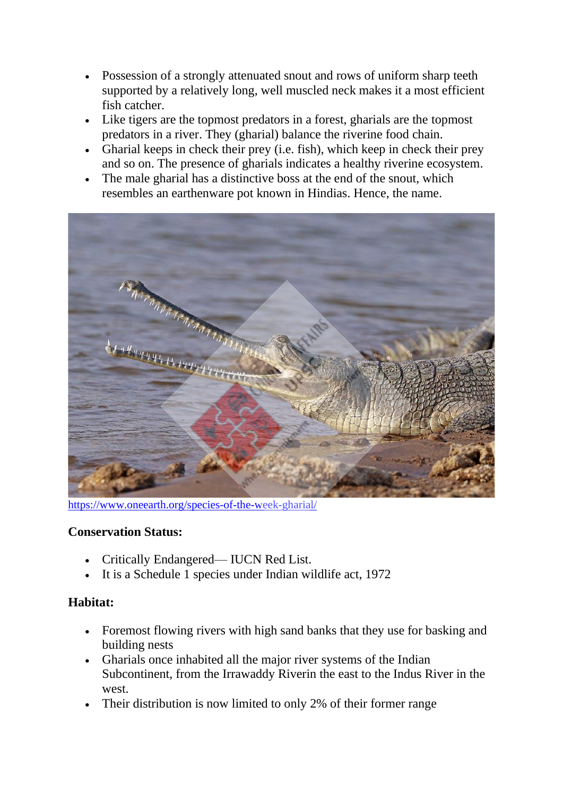- Possession of a strongly attenuated snout and rows of uniform sharp teeth supported by a relatively long, well muscled neck makes it a most efficient fish catcher.
- Like tigers are the topmost predators in a forest, gharials are the topmost predators in a river. They (gharial) balance the riverine food chain.
- Gharial keeps in check their prey (i.e. fish), which keep in check their prey and so on. The presence of gharials indicates a healthy riverine ecosystem.
- The male gharial has a distinctive boss at the end of the snout, which resembles an earthenware pot known in Hindias. Hence, the name.



<https://www.oneearth.org/species-of-the-week-gharial/>

#### **Conservation Status:**

- Critically Endangered— IUCN Red List.
- It is a Schedule 1 species under Indian wildlife act, 1972

#### **Habitat:**

- Foremost flowing rivers with high sand banks that they use for basking and building nests
- Gharials once inhabited all the major river systems of the Indian Subcontinent, from the Irrawaddy Riverin the east to the Indus River in the west.
- Their distribution is now limited to only 2% of their former range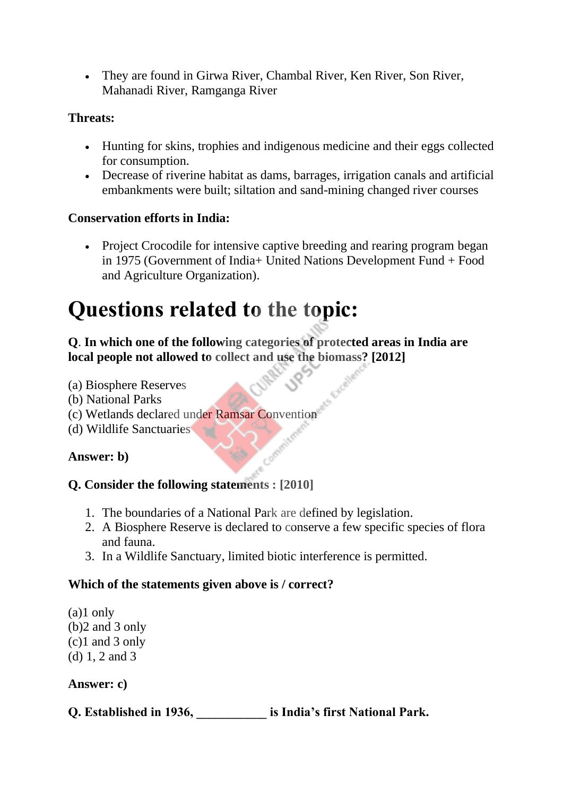• They are found in Girwa River, Chambal River, Ken River, Son River, Mahanadi River, Ramganga River

#### **Threats:**

- Hunting for skins, trophies and indigenous medicine and their eggs collected for consumption.
- Decrease of riverine habitat as dams, barrages, irrigation canals and artificial embankments were built; siltation and sand-mining changed river courses

#### **Conservation efforts in India:**

• Project Crocodile for intensive captive breeding and rearing program began in 1975 (Government of India+ United Nations Development Fund + Food and Agriculture Organization).

## **Questions related to the topic:**

#### **Q**. **In which one of the following categories of protected areas in India are local people not allowed to collect and use the biomass? [2012]**

- (a) Biosphere Reserves
- (b) National Parks
- (c) Wetlands declared under Ramsar Convention
- (d) Wildlife Sanctuaries

#### **Answer: b)**

#### **Q. Consider the following statements : [2010]**

- 1. The boundaries of a National Park are defined by legislation.
- 2. A Biosphere Reserve is declared to conserve a few specific species of flora and fauna.
- 3. In a Wildlife Sanctuary, limited biotic interference is permitted.

#### **Which of the statements given above is / correct?**

(a)1 only (b)2 and 3 only (c)1 and 3 only (d) 1, 2 and 3

#### **Answer: c)**

**Q. Established in 1936, \_\_\_\_\_\_\_\_\_\_\_ is India's first National Park.**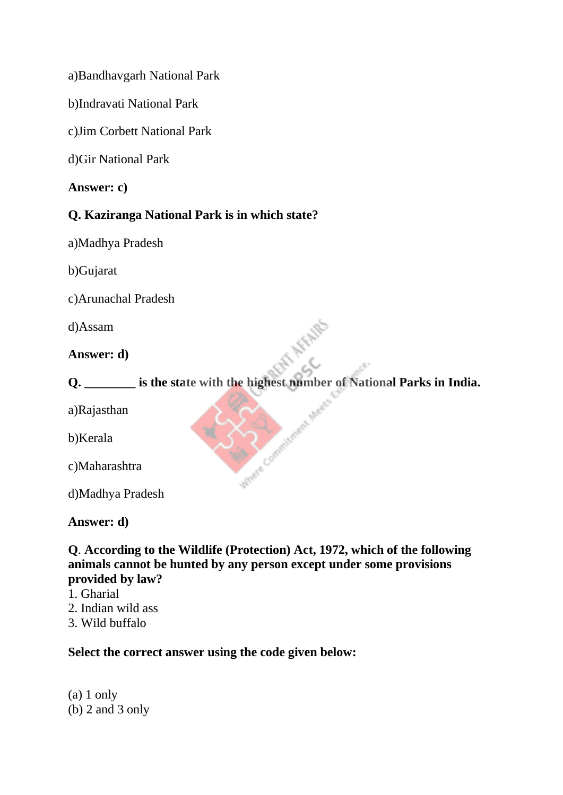a)Bandhavgarh National Park

b)Indravati National Park

c)Jim Corbett National Park

d)Gir National Park

**Answer: c)**

#### **Q. Kaziranga National Park is in which state?**

a)Madhya Pradesh

b)Gujarat

c)Arunachal Pradesh

d)Assam

#### **Answer: d)**

**Q. \_\_\_\_\_\_\_\_ is the state with the highest number of National Parks in India.**

Com

Juliete

a)Rajasthan

b)Kerala

c)Maharashtra

d)Madhya Pradesh

**Answer: d)**

**Q**. **According to the Wildlife (Protection) Act, 1972, which of the following animals cannot be hunted by any person except under some provisions provided by law?**

- 1. Gharial
- 2. Indian wild ass
- 3. Wild buffalo

**Select the correct answer using the code given below:**

(a) 1 only  $(b)$  2 and 3 only